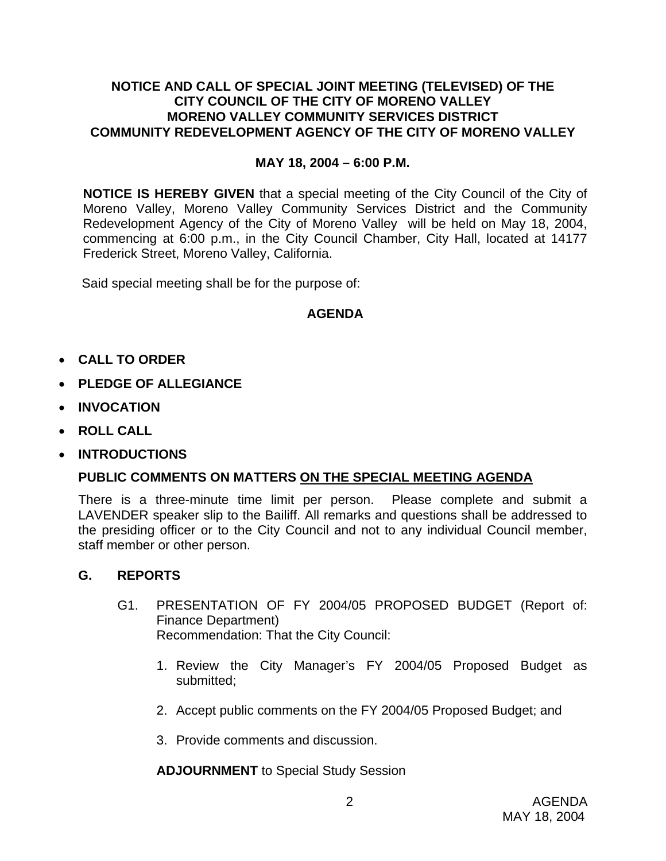## **NOTICE AND CALL OF SPECIAL JOINT MEETING (TELEVISED) OF THE CITY COUNCIL OF THE CITY OF MORENO VALLEY MORENO VALLEY COMMUNITY SERVICES DISTRICT COMMUNITY REDEVELOPMENT AGENCY OF THE CITY OF MORENO VALLEY**

### **MAY 18, 2004 – 6:00 P.M.**

**NOTICE IS HEREBY GIVEN** that a special meeting of the City Council of the City of Moreno Valley, Moreno Valley Community Services District and the Community Redevelopment Agency of the City of Moreno Valley will be held on May 18, 2004, commencing at 6:00 p.m., in the City Council Chamber, City Hall, located at 14177 Frederick Street, Moreno Valley, California.

Said special meeting shall be for the purpose of:

# **AGENDA**

- **CALL TO ORDER**
- **PLEDGE OF ALLEGIANCE**
- **INVOCATION**
- **ROLL CALL**
- **INTRODUCTIONS**

# **PUBLIC COMMENTS ON MATTERS ON THE SPECIAL MEETING AGENDA**

There is a three-minute time limit per person. Please complete and submit a LAVENDER speaker slip to the Bailiff. All remarks and questions shall be addressed to the presiding officer or to the City Council and not to any individual Council member, staff member or other person.

#### **G. REPORTS**

- G1. PRESENTATION OF FY 2004/05 PROPOSED BUDGET (Report of: Finance Department) Recommendation: That the City Council:
	- 1. Review the City Manager's FY 2004/05 Proposed Budget as submitted;
	- 2. Accept public comments on the FY 2004/05 Proposed Budget; and
	- 3. Provide comments and discussion.

**ADJOURNMENT** to Special Study Session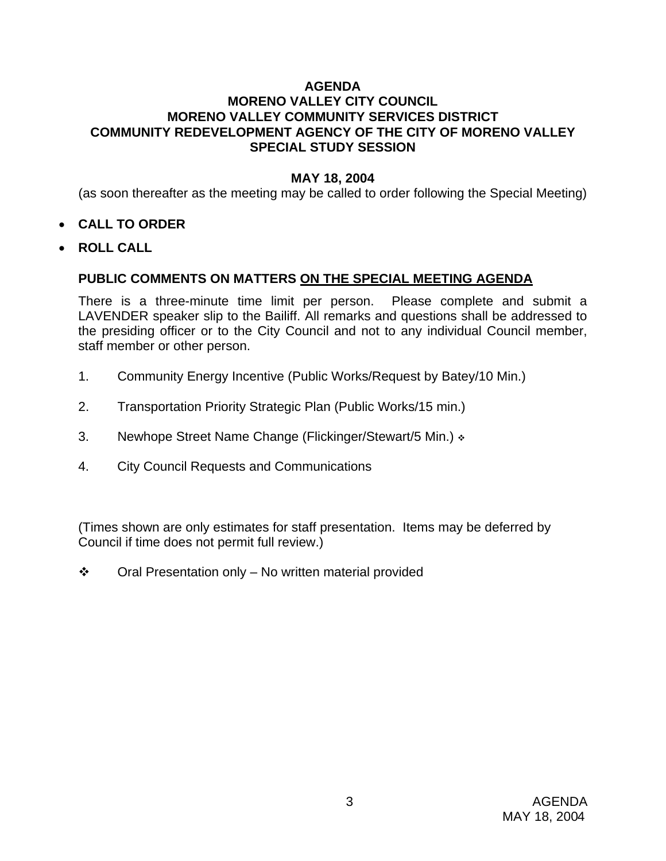# **AGENDA**

# **MORENO VALLEY CITY COUNCIL MORENO VALLEY COMMUNITY SERVICES DISTRICT COMMUNITY REDEVELOPMENT AGENCY OF THE CITY OF MORENO VALLEY SPECIAL STUDY SESSION**

### **MAY 18, 2004**

(as soon thereafter as the meeting may be called to order following the Special Meeting)

- **CALL TO ORDER**
- **ROLL CALL**

# **PUBLIC COMMENTS ON MATTERS ON THE SPECIAL MEETING AGENDA**

There is a three-minute time limit per person. Please complete and submit a LAVENDER speaker slip to the Bailiff. All remarks and questions shall be addressed to the presiding officer or to the City Council and not to any individual Council member, staff member or other person.

- 1. Community Energy Incentive (Public Works/Request by Batey/10 Min.)
- 2. Transportation Priority Strategic Plan (Public Works/15 min.)
- 3. Newhope Street Name Change (Flickinger/Stewart/5 Min.)  $\cdot$
- 4. City Council Requests and Communications

(Times shown are only estimates for staff presentation. Items may be deferred by Council if time does not permit full review.)

 $\div$  Oral Presentation only – No written material provided